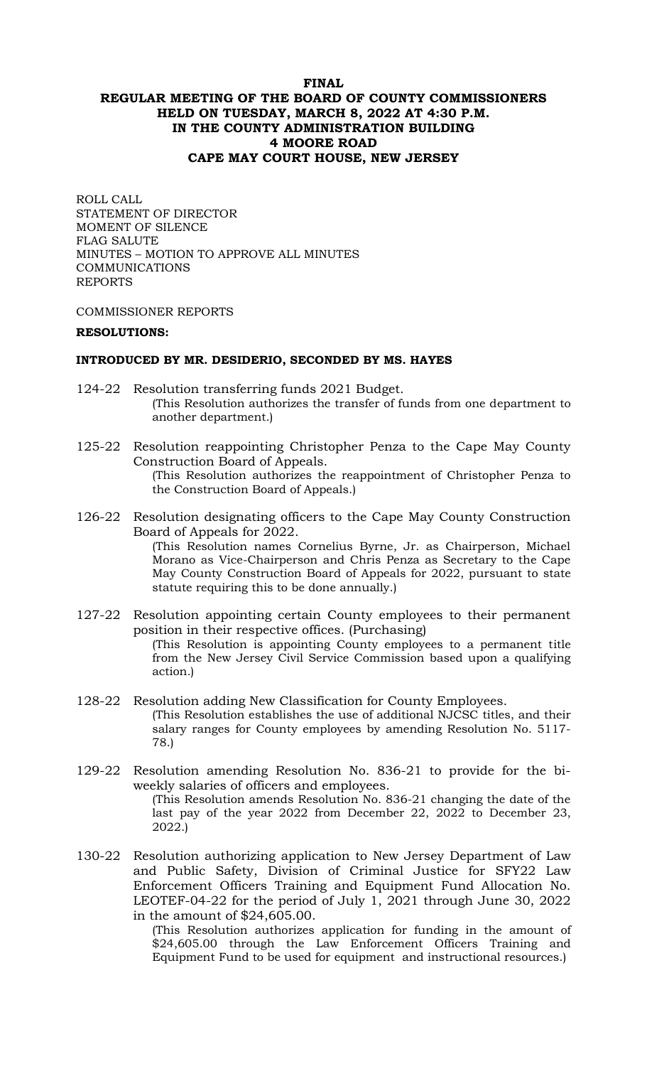# **FINAL REGULAR MEETING OF THE BOARD OF COUNTY COMMISSIONERS HELD ON TUESDAY, MARCH 8, 2022 AT 4:30 P.M. IN THE COUNTY ADMINISTRATION BUILDING 4 MOORE ROAD CAPE MAY COURT HOUSE, NEW JERSEY**

ROLL CALL STATEMENT OF DIRECTOR MOMENT OF SILENCE FLAG SALUTE MINUTES – MOTION TO APPROVE ALL MINUTES COMMUNICATIONS REPORTS

COMMISSIONER REPORTS

### **RESOLUTIONS:**

### **INTRODUCED BY MR. DESIDERIO, SECONDED BY MS. HAYES**

- 124-22 Resolution transferring funds 2021 Budget. (This Resolution authorizes the transfer of funds from one department to another department.)
- 125-22 Resolution reappointing Christopher Penza to the Cape May County Construction Board of Appeals. (This Resolution authorizes the reappointment of Christopher Penza to the Construction Board of Appeals.)
- 126-22 Resolution designating officers to the Cape May County Construction Board of Appeals for 2022. (This Resolution names Cornelius Byrne, Jr. as Chairperson, Michael Morano as Vice-Chairperson and Chris Penza as Secretary to the Cape May County Construction Board of Appeals for 2022, pursuant to state statute requiring this to be done annually.)
- 127-22 Resolution appointing certain County employees to their permanent position in their respective offices. (Purchasing) (This Resolution is appointing County employees to a permanent title from the New Jersey Civil Service Commission based upon a qualifying action*.*)
- 128-22 Resolution adding New Classification for County Employees. (This Resolution establishes the use of additional NJCSC titles, and their salary ranges for County employees by amending Resolution No. 5117- 78.)
- 129-22 Resolution amending Resolution No. 836-21 to provide for the biweekly salaries of officers and employees. (This Resolution amends Resolution No. 836-21 changing the date of the last pay of the year 2022 from December 22, 2022 to December 23, 2022.)
- 130-22 Resolution authorizing application to New Jersey Department of Law and Public Safety, Division of Criminal Justice for SFY22 Law Enforcement Officers Training and Equipment Fund Allocation No. LEOTEF-04-22 for the period of July 1, 2021 through June 30, 2022 in the amount of \$24,605.00.

(This Resolution authorizes application for funding in the amount of \$24,605.00 through the Law Enforcement Officers Training and Equipment Fund to be used for equipment and instructional resources.)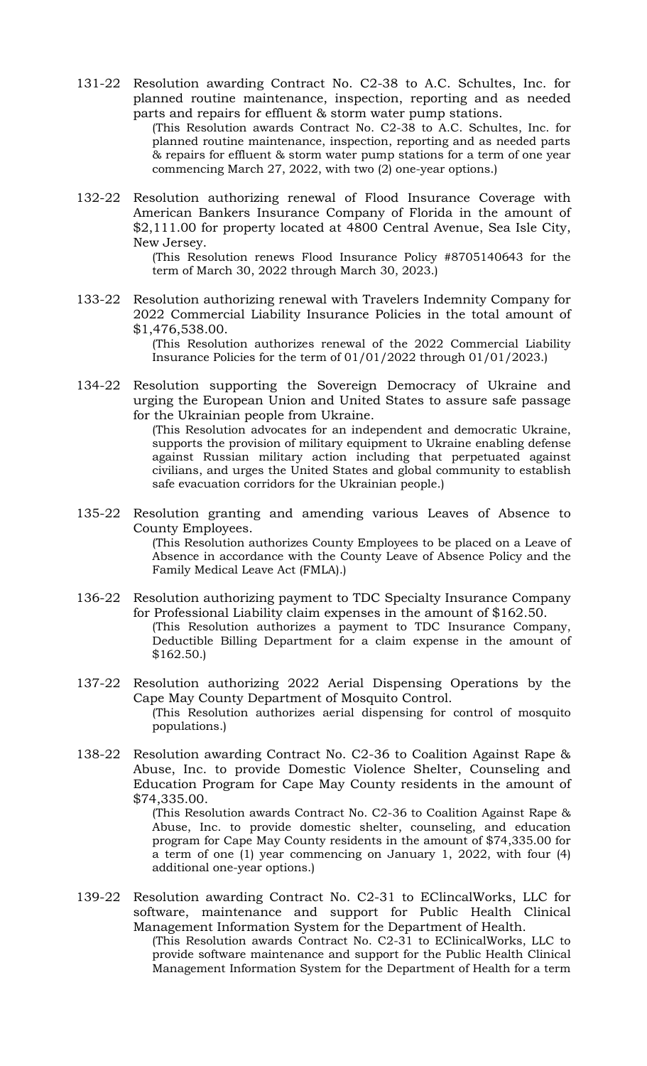131-22 Resolution awarding Contract No. C2-38 to A.C. Schultes, Inc. for planned routine maintenance, inspection, reporting and as needed parts and repairs for effluent & storm water pump stations.

(This Resolution awards Contract No. C2-38 to A.C. Schultes, Inc. for planned routine maintenance, inspection, reporting and as needed parts & repairs for effluent & storm water pump stations for a term of one year commencing March 27, 2022, with two (2) one-year options.)

132-22 Resolution authorizing renewal of Flood Insurance Coverage with American Bankers Insurance Company of Florida in the amount of \$2,111.00 for property located at 4800 Central Avenue, Sea Isle City, New Jersey.

> (This Resolution renews Flood Insurance Policy #8705140643 for the term of March 30, 2022 through March 30, 2023.)

133-22 Resolution authorizing renewal with Travelers Indemnity Company for 2022 Commercial Liability Insurance Policies in the total amount of \$1,476,538.00.

> (This Resolution authorizes renewal of the 2022 Commercial Liability Insurance Policies for the term of 01/01/2022 through 01/01/2023.)

134-22 Resolution supporting the Sovereign Democracy of Ukraine and urging the European Union and United States to assure safe passage for the Ukrainian people from Ukraine.

(This Resolution advocates for an independent and democratic Ukraine, supports the provision of military equipment to Ukraine enabling defense against Russian military action including that perpetuated against civilians, and urges the United States and global community to establish safe evacuation corridors for the Ukrainian people.)

- 135-22 Resolution granting and amending various Leaves of Absence to County Employees. (This Resolution authorizes County Employees to be placed on a Leave of Absence in accordance with the County Leave of Absence Policy and the Family Medical Leave Act (FMLA).)
- 136-22 Resolution authorizing payment to TDC Specialty Insurance Company for Professional Liability claim expenses in the amount of \$162.50. (This Resolution authorizes a payment to TDC Insurance Company, Deductible Billing Department for a claim expense in the amount of \$162.50.)
- 137-22 Resolution authorizing 2022 Aerial Dispensing Operations by the Cape May County Department of Mosquito Control. (This Resolution authorizes aerial dispensing for control of mosquito populations.)
- 138-22 Resolution awarding Contract No. C2-36 to Coalition Against Rape & Abuse, Inc. to provide Domestic Violence Shelter, Counseling and Education Program for Cape May County residents in the amount of \$74,335.00.

(This Resolution awards Contract No. C2-36 to Coalition Against Rape & Abuse, Inc. to provide domestic shelter, counseling, and education program for Cape May County residents in the amount of \$74,335.00 for a term of one (1) year commencing on January 1, 2022, with four (4) additional one-year options.)

139-22 Resolution awarding Contract No. C2-31 to EClincalWorks, LLC for software, maintenance and support for Public Health Clinical Management Information System for the Department of Health. (This Resolution awards Contract No. C2-31 to EClinicalWorks, LLC to provide software maintenance and support for the Public Health Clinical Management Information System for the Department of Health for a term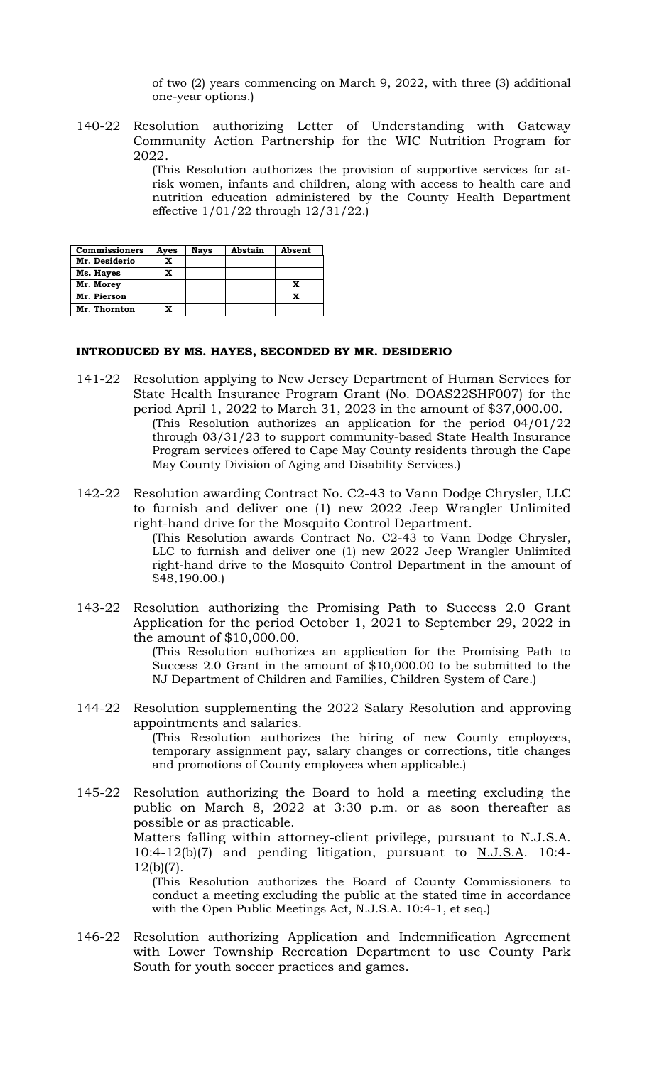of two (2) years commencing on March 9, 2022, with three (3) additional one-year options.)

140-22 Resolution authorizing Letter of Understanding with Gateway Community Action Partnership for the WIC Nutrition Program for 2022.

> (This Resolution authorizes the provision of supportive services for atrisk women, infants and children, along with access to health care and nutrition education administered by the County Health Department effective 1/01/22 through 12/31/22.)

| <b>Commissioners</b> | Ayes | <b>Nays</b> | Abstain | Absent |
|----------------------|------|-------------|---------|--------|
| Mr. Desiderio        |      |             |         |        |
| Ms. Hayes            | x    |             |         |        |
| Mr. Morey            |      |             |         | X      |
| Mr. Pierson          |      |             |         |        |
| Mr. Thornton         |      |             |         |        |

### **INTRODUCED BY MS. HAYES, SECONDED BY MR. DESIDERIO**

- 141-22 Resolution applying to New Jersey Department of Human Services for State Health Insurance Program Grant (No. DOAS22SHF007) for the period April 1, 2022 to March 31, 2023 in the amount of \$37,000.00. (This Resolution authorizes an application for the period 04/01/22 through 03/31/23 to support community-based State Health Insurance Program services offered to Cape May County residents through the Cape May County Division of Aging and Disability Services.)
- 142-22 Resolution awarding Contract No. C2-43 to Vann Dodge Chrysler, LLC to furnish and deliver one (1) new 2022 Jeep Wrangler Unlimited right-hand drive for the Mosquito Control Department. (This Resolution awards Contract No. C2-43 to Vann Dodge Chrysler,

LLC to furnish and deliver one (1) new 2022 Jeep Wrangler Unlimited right-hand drive to the Mosquito Control Department in the amount of \$48,190.00.)

143-22 Resolution authorizing the Promising Path to Success 2.0 Grant Application for the period October 1, 2021 to September 29, 2022 in the amount of \$10,000.00.

> (This Resolution authorizes an application for the Promising Path to Success 2.0 Grant in the amount of \$10,000.00 to be submitted to the NJ Department of Children and Families, Children System of Care.)

144-22 Resolution supplementing the 2022 Salary Resolution and approving appointments and salaries. (This Resolution authorizes the hiring of new County employees, temporary assignment pay, salary changes or corrections, title changes and promotions of County employees when applicable.)

145-22 Resolution authorizing the Board to hold a meeting excluding the public on March 8, 2022 at 3:30 p.m. or as soon thereafter as possible or as practicable. Matters falling within attorney-client privilege, pursuant to N.J.S.A. 10:4-12(b)(7) and pending litigation, pursuant to N.J.S.A. 10:4- 12(b)(7). (This Resolution authorizes the Board of County Commissioners to conduct a meeting excluding the public at the stated time in accordance

with the Open Public Meetings Act, N.J.S.A. 10:4-1, et seq.) 146-22 Resolution authorizing Application and Indemnification Agreement with Lower Township Recreation Department to use County Park South for youth soccer practices and games.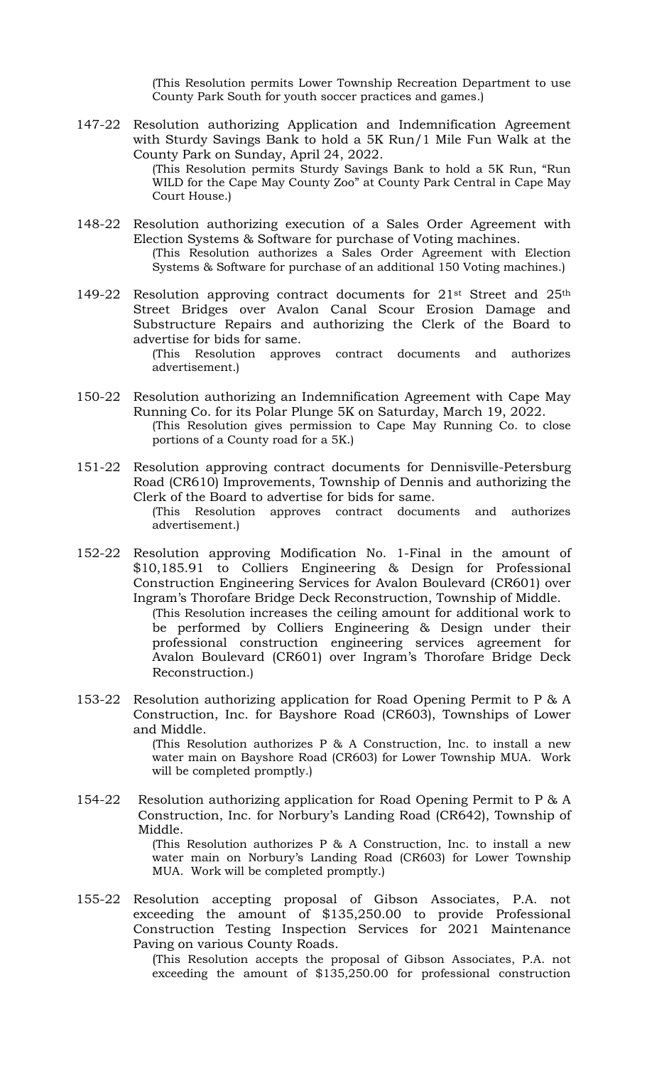(This Resolution permits Lower Township Recreation Department to use County Park South for youth soccer practices and games.)

147-22 Resolution authorizing Application and Indemnification Agreement with Sturdy Savings Bank to hold a 5K Run/1 Mile Fun Walk at the County Park on Sunday, April 24, 2022.

(This Resolution permits Sturdy Savings Bank to hold a 5K Run, "Run WILD for the Cape May County Zoo" at County Park Central in Cape May Court House.)

- 148-22 Resolution authorizing execution of a Sales Order Agreement with Election Systems & Software for purchase of Voting machines. (This Resolution authorizes a Sales Order Agreement with Election Systems & Software for purchase of an additional 150 Voting machines.)
- 149-22 Resolution approving contract documents for 21<sup>st</sup> Street and 25<sup>th</sup> Street Bridges over Avalon Canal Scour Erosion Damage and Substructure Repairs and authorizing the Clerk of the Board to advertise for bids for same.

(This Resolution approves contract documents and authorizes advertisement.)

- 150-22 Resolution authorizing an Indemnification Agreement with Cape May Running Co. for its Polar Plunge 5K on Saturday, March 19, 2022. (This Resolution gives permission to Cape May Running Co. to close portions of a County road for a 5K.)
- 151-22 Resolution approving contract documents for Dennisville-Petersburg Road (CR610) Improvements, Township of Dennis and authorizing the Clerk of the Board to advertise for bids for same. (This Resolution approves contract documents and authorizes advertisement.)
- 152-22 Resolution approving Modification No. 1-Final in the amount of \$10,185.91 to Colliers Engineering & Design for Professional Construction Engineering Services for Avalon Boulevard (CR601) over Ingram's Thorofare Bridge Deck Reconstruction, Township of Middle.

(This Resolution increases the ceiling amount for additional work to be performed by Colliers Engineering & Design under their professional construction engineering services agreement for Avalon Boulevard (CR601) over Ingram's Thorofare Bridge Deck Reconstruction.)

153-22 Resolution authorizing application for Road Opening Permit to P & A Construction, Inc. for Bayshore Road (CR603), Townships of Lower and Middle.

> (This Resolution authorizes P & A Construction, Inc. to install a new water main on Bayshore Road (CR603) for Lower Township MUA. Work will be completed promptly.)

154-22 Resolution authorizing application for Road Opening Permit to P & A Construction, Inc. for Norbury's Landing Road (CR642), Township of Middle.

(This Resolution authorizes P & A Construction, Inc. to install a new water main on Norbury's Landing Road (CR603) for Lower Township MUA. Work will be completed promptly.)

155-22 Resolution accepting proposal of Gibson Associates, P.A. not exceeding the amount of \$135,250.00 to provide Professional Construction Testing Inspection Services for 2021 Maintenance Paving on various County Roads.

> (This Resolution accepts the proposal of Gibson Associates, P.A. not exceeding the amount of \$135,250.00 for professional construction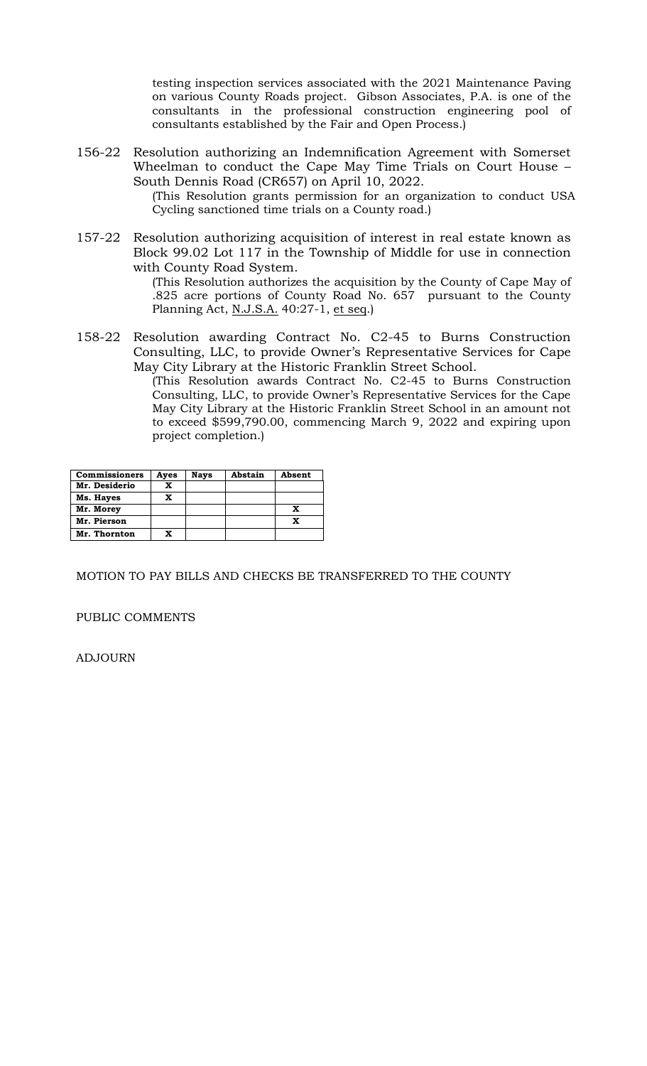testing inspection services associated with the 2021 Maintenance Paving on various County Roads project. Gibson Associates, P.A. is one of the consultants in the professional construction engineering pool of consultants established by the Fair and Open Process.)

156-22 Resolution authorizing an Indemnification Agreement with Somerset Wheelman to conduct the Cape May Time Trials on Court House – South Dennis Road (CR657) on April 10, 2022.

(This Resolution grants permission for an organization to conduct USA Cycling sanctioned time trials on a County road.)

157-22 Resolution authorizing acquisition of interest in real estate known as Block 99.02 Lot 117 in the Township of Middle for use in connection with County Road System.

> (This Resolution authorizes the acquisition by the County of Cape May of .825 acre portions of County Road No. 657 pursuant to the County Planning Act, N.J.S.A. 40:27-1, et seq.)

158-22 Resolution awarding Contract No. C2-45 to Burns Construction Consulting, LLC, to provide Owner's Representative Services for Cape May City Library at the Historic Franklin Street School.

(This Resolution awards Contract No. C2-45 to Burns Construction Consulting, LLC, to provide Owner's Representative Services for the Cape May City Library at the Historic Franklin Street School in an amount not to exceed \$599,790.00, commencing March 9, 2022 and expiring upon project completion.)

| <b>Commissioners</b> | Aves | Nays | Abstain | Absent |
|----------------------|------|------|---------|--------|
| Mr. Desiderio        |      |      |         |        |
| Ms. Hayes            |      |      |         |        |
| Mr. Morey            |      |      |         | x      |
| Mr. Pierson          |      |      |         | x      |
| Mr. Thornton         | X    |      |         |        |

MOTION TO PAY BILLS AND CHECKS BE TRANSFERRED TO THE COUNTY

PUBLIC COMMENTS

ADJOURN